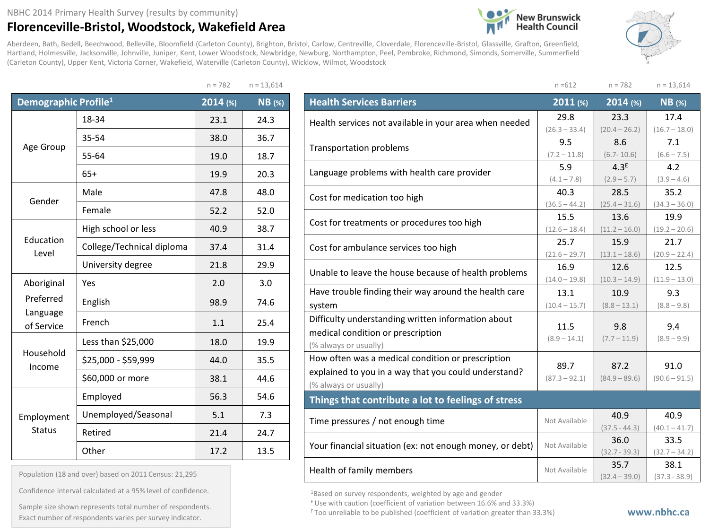## NBHC 2014 Primary Health Survey (results by community)

## **Florenceville-Bristol, Woodstock, Wakefield Area**

(Carleton County), Upper Kent, Victoria Corner, Wakefield, Waterville (Carleton County), Wicklow, Wilmot, Woodstock

Aberdeen, Bath, Bedell, Beechwood, Belleville, Bloomfield (Carleton County), Brighton, Bristol, Carlow, Centreville, Cloverdale, Florenceville-Bristol, Glassville, Grafton, Greenfield, Hartland, Holmesville, Jacksonville, Johnville, Juniper, Kent, Lower Woodstock, Newbridge, Newburg, Northampton, Peel, Pembroke, Richmond, Simonds, Somerville, Summerfield





 $n = 782$   $n = 13,614$ **Demographic Profile1 2014 (%) NB (%)** Age Group 18-34 23.1 24.3 35-54 38.0 36.7 55-64 19.0 18.7 65+ 19.9 20.3 Gender Male 17.8 47.8 48.0 Female 1 52.2 52.0 Education Level High school or less  $\begin{array}{|c|c|c|c|c|} \hline 40.9 & 38.7 \ \hline \end{array}$ College/Technical diploma  $\begin{array}{|c|c|c|c|c|c|} \hline \end{array}$  31.4  $\begin{array}{|c|c|c|c|c|c|c|c|c|} \hline \end{array}$ University degree 21.8 29.9 Aboriginal Yes 2.0 3.0 Preferred Language of Service English | 98.9 | 74.6 French 1.1 25.4 Household Income Less than  $$25,000$  18.0 19.9  $$25,000 - $59,999$  44.0 35.5  $$60,000$  or more  $$38.1$  44.6 Employment **Status** Employed | 56.3 | 54.6 Unemployed/Seasonal | 5.1 | 7.3 Retired 21.4 24.7 Other 17.2 2.13.5

| Population (18 and over) based on 2011 Census: 21,295 |  |  |  |  |  |  |  |
|-------------------------------------------------------|--|--|--|--|--|--|--|
|-------------------------------------------------------|--|--|--|--|--|--|--|

Confidence interval calculated at a 95% level of confidence.

F Too unreliable to be published (coefficient of variation greater than 33.3%) Exact number of respondents varies per survey indicator. **www.nbhc.ca**Sample size shown represents total number of respondents.

| $n = 612$       | $n = 782$                                                                                                                                                                                                                                                                                                                                                | $n = 13,614$            |
|-----------------|----------------------------------------------------------------------------------------------------------------------------------------------------------------------------------------------------------------------------------------------------------------------------------------------------------------------------------------------------------|-------------------------|
| 2011 (%)        | $2014$ (%)                                                                                                                                                                                                                                                                                                                                               | $NB$ (%)                |
| 29.8            | 23.3                                                                                                                                                                                                                                                                                                                                                     | 17.4                    |
| $(26.3 - 33.4)$ | $(20.4 - 26.2)$<br>8.6<br>$(6.7 - 10.6)$<br>4.3 <sup>E</sup><br>$(2.9 - 5.7)$<br>28.5<br>$(25.4 - 31.6)$<br>13.6<br>$(11.2 - 16.0)$<br>15.9<br>$(13.1 - 18.6)$<br>12.6<br>$(10.3 - 14.9)$<br>10.9<br>$(8.8 - 13.1)$<br>9.8<br>$(7.7 - 11.9)$<br>87.2<br>$(84.9 - 89.6)$<br>40.9<br>$(37.5 - 44.3)$<br>36.0<br>$(32.7 - 39.3)$<br>35.7<br>$(32.4 - 39.0)$ | $(16.7 - 18.0)$         |
|                 |                                                                                                                                                                                                                                                                                                                                                          | 7.1                     |
|                 |                                                                                                                                                                                                                                                                                                                                                          | $(6.6 - 7.5)$           |
|                 |                                                                                                                                                                                                                                                                                                                                                          | 4.2<br>$(3.9 - 4.6)$    |
|                 |                                                                                                                                                                                                                                                                                                                                                          | 35.2                    |
|                 |                                                                                                                                                                                                                                                                                                                                                          | $(34.3 - 36.0)$         |
| 15.5            |                                                                                                                                                                                                                                                                                                                                                          | 19.9                    |
| $(12.6 - 18.4)$ |                                                                                                                                                                                                                                                                                                                                                          | $(19.2 - 20.6)$         |
| 25.7            |                                                                                                                                                                                                                                                                                                                                                          | 21.7                    |
| $(21.6 - 29.7)$ |                                                                                                                                                                                                                                                                                                                                                          | $(20.9 - 22.4)$         |
| 16.9            |                                                                                                                                                                                                                                                                                                                                                          | 12.5                    |
| $(14.0 - 19.8)$ |                                                                                                                                                                                                                                                                                                                                                          | $(11.9 - 13.0)$         |
| 13.1            |                                                                                                                                                                                                                                                                                                                                                          | 9.3                     |
| $(10.4 - 15.7)$ |                                                                                                                                                                                                                                                                                                                                                          | $(8.8 - 9.8)$           |
|                 |                                                                                                                                                                                                                                                                                                                                                          | 9.4                     |
|                 |                                                                                                                                                                                                                                                                                                                                                          | $(8.9 - 9.9)$           |
|                 |                                                                                                                                                                                                                                                                                                                                                          |                         |
|                 |                                                                                                                                                                                                                                                                                                                                                          | 91.0                    |
|                 |                                                                                                                                                                                                                                                                                                                                                          | $(90.6 - 91.5)$         |
|                 |                                                                                                                                                                                                                                                                                                                                                          |                         |
|                 |                                                                                                                                                                                                                                                                                                                                                          |                         |
|                 |                                                                                                                                                                                                                                                                                                                                                          | 40.9                    |
|                 |                                                                                                                                                                                                                                                                                                                                                          | $(40.1 - 41.7)$         |
| Not Available   |                                                                                                                                                                                                                                                                                                                                                          | 33.5                    |
|                 |                                                                                                                                                                                                                                                                                                                                                          | $(32.7 - 34.2)$<br>38.1 |
| Not Available   |                                                                                                                                                                                                                                                                                                                                                          | $(37.3 - 38.9)$         |
|                 | 9.5<br>$(7.2 - 11.8)$<br>5.9<br>$(4.1 - 7.8)$<br>40.3<br>$(36.5 - 44.2)$<br>11.5<br>$(8.9 - 14.1)$<br>89.7<br>$(87.3 - 92.1)$<br>Not Available                                                                                                                                                                                                           |                         |

1Based on survey respondents, weighted by age and gender

 $E$  Use with caution (coefficient of variation between 16.6% and 33.3%)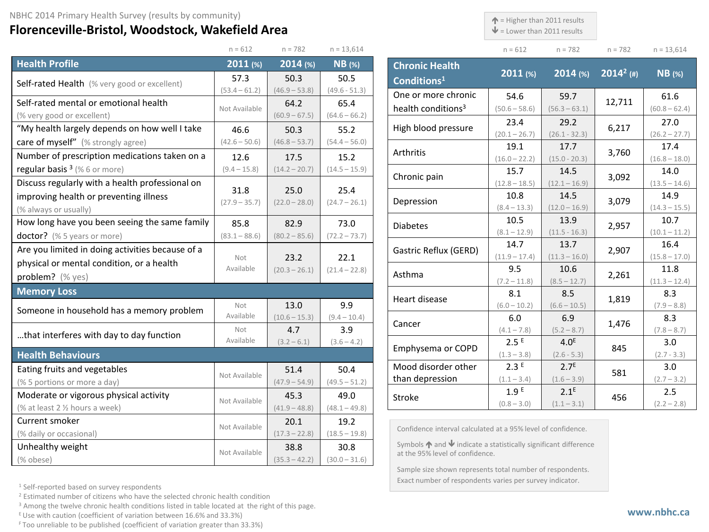## **Florenceville-Bristol, Woodstock, Wakefield Area**

 $\uparrow$  = Higher than 2011 results

 $\mathbf{\Psi}$  = Lower than 2011 results

|                                                  | $n = 612$               | $n = 782$               | $n = 13,614$            |
|--------------------------------------------------|-------------------------|-------------------------|-------------------------|
| <b>Health Profile</b>                            | 2011 (%)                | 2014 (%)                | <b>NB</b> (%)           |
| Self-rated Health (% very good or excellent)     | 57.3                    | 50.3                    | 50.5                    |
|                                                  | $(53.4 - 61.2)$         | $(46.9 - 53.8)$         | $(49.6 - 51.3)$         |
| Self-rated mental or emotional health            | Not Available           | 64.2                    | 65.4                    |
| (% very good or excellent)                       |                         | $(60.9 - 67.5)$         | $(64.6 - 66.2)$         |
| "My health largely depends on how well I take    | 46.6                    | 50.3                    | 55.2                    |
| care of myself" (% strongly agree)               | $(42.6 - 50.6)$         | $(46.8 - 53.7)$         | $(54.4 - 56.0)$         |
| Number of prescription medications taken on a    | 12.6                    | 17.5                    | 15.2                    |
| regular basis $3$ (% 6 or more)                  | $(9.4 - 15.8)$          | $(14.2 - 20.7)$         | $(14.5 - 15.9)$         |
| Discuss regularly with a health professional on  |                         |                         |                         |
| improving health or preventing illness           | 31.8<br>$(27.9 - 35.7)$ | 25.0<br>$(22.0 - 28.0)$ | 25.4<br>$(24.7 - 26.1)$ |
| (% always or usually)                            |                         |                         |                         |
| How long have you been seeing the same family    | 85.8                    | 82.9                    | 73.0                    |
| doctor? (% 5 years or more)                      | $(83.1 - 88.6)$         | $(80.2 - 85.6)$         | $(72.2 - 73.7)$         |
| Are you limited in doing activities because of a |                         |                         |                         |
| physical or mental condition, or a health        | Not<br>Available        | 23.2                    | 22.1                    |
| problem? (% yes)                                 |                         | $(20.3 - 26.1)$         | $(21.4 - 22.8)$         |
| <b>Memory Loss</b>                               |                         |                         |                         |
| Someone in household has a memory problem        | Not                     | 13.0                    | 9.9                     |
|                                                  | Available               | $(10.6 - 15.3)$         | $(9.4 - 10.4)$          |
| that interferes with day to day function         | Not                     | 4.7                     | 3.9                     |
|                                                  | Available               | $(3.2 - 6.1)$           | $(3.6 - 4.2)$           |
| <b>Health Behaviours</b>                         |                         |                         |                         |
| Eating fruits and vegetables                     | Not Available           | 51.4                    | 50.4                    |
| (% 5 portions or more a day)                     |                         | $(47.9 - 54.9)$         | $(49.5 - 51.2)$         |
| Moderate or vigorous physical activity           | Not Available           | 45.3                    | 49.0                    |
| (% at least 2 1/2 hours a week)                  |                         | $(41.9 - 48.8)$         | $(48.1 - 49.8)$         |
| Current smoker                                   | Not Available           | 20.1                    | 19.2                    |
| (% daily or occasional)                          |                         | $(17.3 - 22.8)$         | $(18.5 - 19.8)$         |
| Unhealthy weight                                 | Not Available           | 38.8                    | 30.8                    |
| (% obese)                                        |                         | $(35.3 - 42.2)$         | $(30.0 - 31.6)$         |

|                                                       | $n = 612$                         | $n = 782$                         | $n = 782$    | $n = 13,614$            |
|-------------------------------------------------------|-----------------------------------|-----------------------------------|--------------|-------------------------|
| <b>Chronic Health</b><br>Conditions <sup>1</sup>      | $2011$ (%)                        | $2014$ (%)                        | $2014^2$ (#) | $NB$ (%)                |
| One or more chronic<br>health conditions <sup>3</sup> | 54.6<br>$(50.6 - 58.6)$           | 59.7<br>$(56.3 - 63.1)$           | 12,711       | 61.6<br>$(60.8 - 62.4)$ |
| High blood pressure                                   | 23.4<br>$(20.1 - 26.7)$           | 29.2<br>$(26.1 - 32.3)$           | 6,217        | 27.0<br>$(26.2 - 27.7)$ |
| Arthritis                                             | 19.1<br>$(16.0 - 22.2)$           | 17.7<br>$(15.0 - 20.3)$           | 3,760        | 17.4<br>$(16.8 - 18.0)$ |
| Chronic pain                                          | 15.7<br>$(12.8 - 18.5)$           | 14.5<br>$(12.1 - 16.9)$           | 3,092        | 14.0<br>$(13.5 - 14.6)$ |
| Depression                                            | 10.8<br>$(8.4 - 13.3)$            | 14.5<br>$(12.0 - 16.9)$           | 3,079        | 14.9<br>$(14.3 - 15.5)$ |
| <b>Diabetes</b>                                       | 10.5<br>$(8.1 - 12.9)$            | 13.9<br>$(11.5 - 16.3)$           | 2,957        | 10.7<br>$(10.1 - 11.2)$ |
| Gastric Reflux (GERD)                                 | 14.7<br>$(11.9 - 17.4)$           | 13.7<br>$(11.3 - 16.0)$           | 2,907        | 16.4<br>$(15.8 - 17.0)$ |
| Asthma                                                | 9.5<br>$(7.2 - 11.8)$             | 10.6<br>$(8.5 - 12.7)$            | 2,261        | 11.8<br>$(11.3 - 12.4)$ |
| Heart disease                                         | 8.1<br>$(6.0 - 10.2)$             | 8.5<br>$(6.6 - 10.5)$             | 1,819        | 8.3<br>$(7.9 - 8.8)$    |
| Cancer                                                | 6.0<br>$(4.1 - 7.8)$              | 6.9<br>$(5.2 - 8.7)$              | 1,476        | 8.3<br>$(7.8 - 8.7)$    |
| Emphysema or COPD                                     | 2.5E<br>$(1.3 - 3.8)$             | 4.0 <sup>E</sup><br>$(2.6 - 5.3)$ | 845          | 3.0<br>$(2.7 - 3.3)$    |
| Mood disorder other<br>than depression                | 2.3E<br>$(1.1 - 3.4)$             | 2.7 <sup>E</sup><br>$(1.6 - 3.9)$ | 581          | 3.0<br>$(2.7 - 3.2)$    |
| Stroke                                                | 1.9 <sup>E</sup><br>$(0.8 - 3.0)$ | 2.1 <sup>E</sup><br>$(1.1 - 3.1)$ | 456          | 2.5<br>$(2.2 - 2.8)$    |

Confidence interval calculated at a 95% level of confidence.

Symbols  $\bigwedge$  and  $\bigvee$  indicate a statistically significant difference at the 95% level of confidence.

Sample size shown represents total number of respondents. Exact number of respondents varies per survey indicator.

<sup>1</sup> Self-reported based on survey respondents

<sup>2</sup> Estimated number of citizens who have the selected chronic health condition

<sup>3</sup> Among the twelve chronic health conditions listed in table located at the right of this page.

 $E$  Use with caution (coefficient of variation between 16.6% and 33.3%)

F Too unreliable to be published (coefficient of variation greater than 33.3%)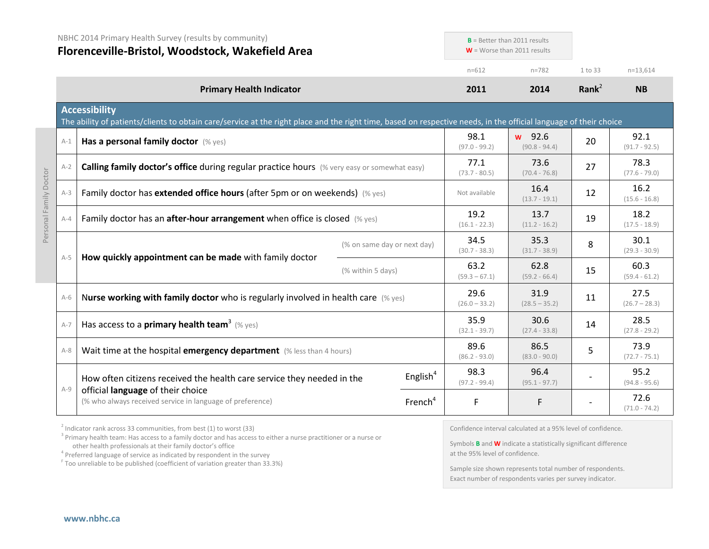|                        | NBHC 2014 Primary Health Survey (results by community)<br>Florenceville-Bristol, Woodstock, Wakefield Area |                                                                                                                                                                                           | $B =$ Better than 2011 results<br>$W =$ Worse than 2011 results |                         |                         |                           |                         |                         |
|------------------------|------------------------------------------------------------------------------------------------------------|-------------------------------------------------------------------------------------------------------------------------------------------------------------------------------------------|-----------------------------------------------------------------|-------------------------|-------------------------|---------------------------|-------------------------|-------------------------|
|                        |                                                                                                            |                                                                                                                                                                                           |                                                                 | $n = 612$               | $n = 782$               | 1 to 33                   | $n=13,614$              |                         |
|                        |                                                                                                            | <b>Primary Health Indicator</b>                                                                                                                                                           |                                                                 |                         | 2011                    | 2014                      | Rank <sup>2</sup>       | <b>NB</b>               |
|                        |                                                                                                            | <b>Accessibility</b><br>The ability of patients/clients to obtain care/service at the right place and the right time, based on respective needs, in the official language of their choice |                                                                 |                         |                         |                           |                         |                         |
|                        | $A-1$                                                                                                      | Has a personal family doctor (% yes)                                                                                                                                                      |                                                                 |                         | 98.1<br>$(97.0 - 99.2)$ | w 92.6<br>$(90.8 - 94.4)$ | 20                      | 92.1<br>$(91.7 - 92.5)$ |
|                        | $A-2$                                                                                                      | <b>Calling family doctor's office during regular practice hours</b> (% very easy or somewhat easy)                                                                                        |                                                                 |                         | 77.1<br>$(73.7 - 80.5)$ | 73.6<br>$(70.4 - 76.8)$   | 27                      | 78.3<br>$(77.6 - 79.0)$ |
|                        | $A-3$                                                                                                      | Family doctor has extended office hours (after 5pm or on weekends) (% yes)                                                                                                                |                                                                 |                         | Not available           | 16.4<br>$(13.7 - 19.1)$   | 12                      | 16.2<br>$(15.6 - 16.8)$ |
| Personal Family Doctor | $A-4$                                                                                                      | Family doctor has an after-hour arrangement when office is closed (% yes)                                                                                                                 |                                                                 | 19.2<br>$(16.1 - 22.3)$ | 13.7<br>$(11.2 - 16.2)$ | 19                        | 18.2<br>$(17.5 - 18.9)$ |                         |
|                        | $A-5$                                                                                                      | How quickly appointment can be made with family doctor                                                                                                                                    | (% on same day or next day)                                     |                         | 34.5<br>$(30.7 - 38.3)$ | 35.3<br>$(31.7 - 38.9)$   | 8                       | 30.1<br>$(29.3 - 30.9)$ |
|                        |                                                                                                            |                                                                                                                                                                                           | (% within 5 days)                                               |                         | 63.2<br>$(59.3 - 67.1)$ | 62.8<br>$(59.2 - 66.4)$   | 15                      | 60.3<br>$(59.4 - 61.2)$ |
|                        | $A-6$                                                                                                      | Nurse working with family doctor who is regularly involved in health care $(\%$ yes)                                                                                                      |                                                                 |                         | 29.6<br>$(26.0 - 33.2)$ | 31.9<br>$(28.5 - 35.2)$   | 11                      | 27.5<br>$(26.7 - 28.3)$ |
|                        | $A-7$                                                                                                      | Has access to a <b>primary health team</b> <sup>3</sup> (% yes)                                                                                                                           |                                                                 |                         | 35.9<br>$(32.1 - 39.7)$ | 30.6<br>$(27.4 - 33.8)$   | 14                      | 28.5<br>$(27.8 - 29.2)$ |
|                        | $A-8$                                                                                                      | Wait time at the hospital emergency department (% less than 4 hours)                                                                                                                      |                                                                 |                         | 89.6<br>$(86.2 - 93.0)$ | 86.5<br>$(83.0 - 90.0)$   | 5                       | 73.9<br>$(72.7 - 75.1)$ |
|                        | $A-9$                                                                                                      | How often citizens received the health care service they needed in the                                                                                                                    |                                                                 | English $4$             | 98.3<br>$(97.2 - 99.4)$ | 96.4<br>$(95.1 - 97.7)$   |                         | 95.2<br>$(94.8 - 95.6)$ |
|                        |                                                                                                            | official language of their choice<br>(% who always received service in language of preference)                                                                                            |                                                                 | French <sup>4</sup>     | F                       | F                         |                         | 72.6<br>$(71.0 - 74.2)$ |

 $2$  Indicator rank across 33 communities, from best (1) to worst (33)

<sup>3</sup> Primary health team: Has access to a family doctor and has access to either a nurse practitioner or a nurse or other health professionals at their family doctor's office

<sup>4</sup> Preferred language of service as indicated by respondent in the survey

<sup>F</sup> Too unreliable to be published (coefficient of variation greater than 33.3%)

Confidence interval calculated at a 95% level of confidence.

Symbols **B** and **W** indicate a statistically significant difference at the 95% level of confidence.

Sample size shown represents total number of respondents. Exact number of respondents varies per survey indicator.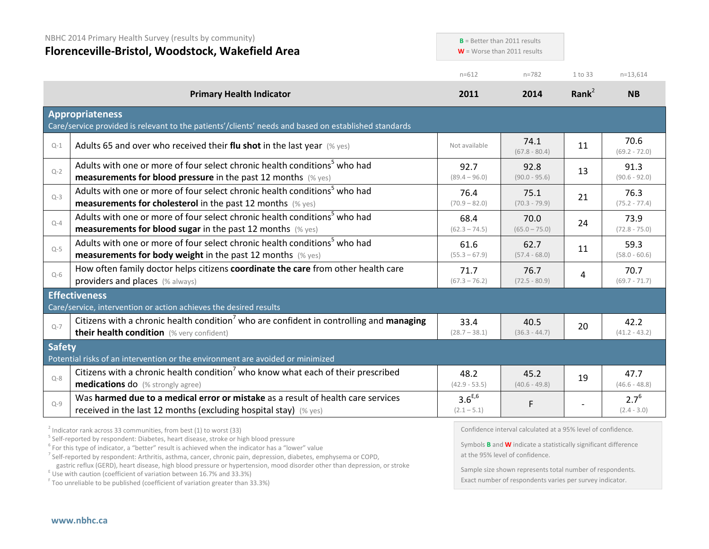|               | NBHC 2014 Primary Health Survey (results by community)<br>Florenceville-Bristol, Woodstock, Wakefield Area                                                    |                              | $B =$ Better than 2011 results<br>$W =$ Worse than 2011 results |                |                            |
|---------------|---------------------------------------------------------------------------------------------------------------------------------------------------------------|------------------------------|-----------------------------------------------------------------|----------------|----------------------------|
|               |                                                                                                                                                               | $n = 612$                    | $n = 782$                                                       | 1 to 33        | $n=13,614$                 |
|               | <b>Primary Health Indicator</b>                                                                                                                               | 2011                         | 2014                                                            | Rank $2$       | <b>NB</b>                  |
|               | <b>Appropriateness</b><br>Care/service provided is relevant to the patients'/clients' needs and based on established standards                                |                              |                                                                 |                |                            |
| $Q-1$         | Adults 65 and over who received their flu shot in the last year $(\%$ yes)                                                                                    | Not available                | 74.1<br>$(67.8 - 80.4)$                                         | 11             | 70.6<br>$(69.2 - 72.0)$    |
| $Q-2$         | Adults with one or more of four select chronic health conditions <sup>5</sup> who had<br><b>measurements for blood pressure</b> in the past 12 months (% yes) | 92.7<br>$(89.4 - 96.0)$      | 92.8<br>$(90.0 - 95.6)$                                         | 13             | 91.3<br>$(90.6 - 92.0)$    |
| $Q-3$         | Adults with one or more of four select chronic health conditions <sup>5</sup> who had<br><b>measurements for cholesterol</b> in the past 12 months (% yes)    | 76.4<br>$(70.9 - 82.0)$      | 75.1<br>$(70.3 - 79.9)$                                         | 21             | 76.3<br>$(75.2 - 77.4)$    |
| $Q-4$         | Adults with one or more of four select chronic health conditions <sup>5</sup> who had<br>measurements for blood sugar in the past 12 months (% yes)           | 68.4<br>$(62.3 - 74.5)$      | 70.0<br>$(65.0 - 75.0)$                                         | 24             | 73.9<br>$(72.8 - 75.0)$    |
| $Q-5$         | Adults with one or more of four select chronic health conditions <sup>5</sup> who had<br><b>measurements for body weight</b> in the past 12 months (% yes)    | 61.6<br>$(55.3 - 67.9)$      | 62.7<br>$(57.4 - 68.0)$                                         | 11             | 59.3<br>$(58.0 - 60.6)$    |
| $Q-6$         | How often family doctor helps citizens coordinate the care from other health care<br>providers and places (% always)                                          | 71.7<br>$(67.3 - 76.2)$      | 76.7<br>$(72.5 - 80.9)$                                         | $\overline{4}$ | 70.7<br>$(69.7 - 71.7)$    |
|               | <b>Effectiveness</b><br>Care/service, intervention or action achieves the desired results                                                                     |                              |                                                                 |                |                            |
| $Q-7$         | Citizens with a chronic health condition <sup>7</sup> who are confident in controlling and managing<br>their health condition (% very confident)              | 33.4<br>$(28.7 - 38.1)$      | 40.5<br>$(36.3 - 44.7)$                                         | 20             | 42.2<br>$(41.2 - 43.2)$    |
| <b>Safety</b> | Potential risks of an intervention or the environment are avoided or minimized                                                                                |                              |                                                                 |                |                            |
| $Q - 8$       | Citizens with a chronic health condition who know what each of their prescribed<br><b>medications do</b> (% strongly agree)                                   | 48.2<br>$(42.9 - 53.5)$      | 45.2<br>$(40.6 - 49.8)$                                         | 19             | 47.7<br>$(46.6 - 48.8)$    |
| $Q-9$         | Was harmed due to a medical error or mistake as a result of health care services<br>received in the last 12 months (excluding hospital stay) $(\%$ yes)       | $3.6^{E,6}$<br>$(2.1 - 5.1)$ | $\mathsf F$                                                     |                | $2.7^{6}$<br>$(2.4 - 3.0)$ |
|               | $3$ Indicator rank across 33 communities, from best (1) to worst (33)                                                                                         |                              | Confidence interval calculated at a 95% level of confidence.    |                |                            |

<sup>5</sup> Self-reported by respondent: Diabetes, heart disease, stroke or high blood pressure

<sup>6</sup> For this type of indicator, a "better" result is achieved when the indicator has a "lower" value

<sup>7</sup> Self-reported by respondent: Arthritis, asthma, cancer, chronic pain, depression, diabetes, emphysema or COPD,

gastric reflux (GERD), heart disease, high blood pressure or hypertension, mood disorder other than depression, or stroke E Use with caution (coefficient of variation between 16.7% and 33.3%)

<sup>F</sup> Too unreliable to be published (coefficient of variation greater than 33.3%)

Symbols **B** and **W** indicate a statistically significant difference at the 95% level of confidence.

Sample size shown represents total number of respondents. Exact number of respondents varies per survey indicator.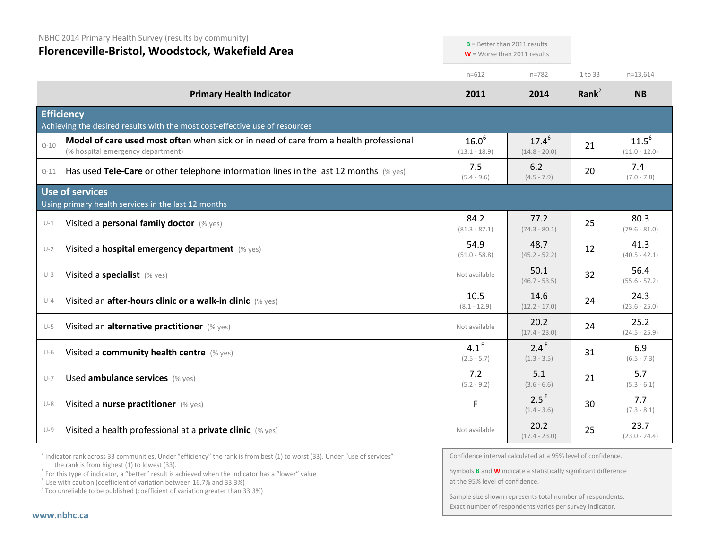| NBHC 2014 Primary Health Survey (results by community)<br>Florenceville-Bristol, Woodstock, Wakefield Area |                                                                                                                            | $B$ = Better than 2011 results<br>$W =$ Worse than 2011 results |                                   |                   |                               |
|------------------------------------------------------------------------------------------------------------|----------------------------------------------------------------------------------------------------------------------------|-----------------------------------------------------------------|-----------------------------------|-------------------|-------------------------------|
|                                                                                                            |                                                                                                                            | $n = 612$                                                       | $n = 782$                         | 1 to 33           | $n=13,614$                    |
|                                                                                                            | <b>Primary Health Indicator</b>                                                                                            | 2011                                                            | 2014                              | Rank <sup>2</sup> | <b>NB</b>                     |
|                                                                                                            | <b>Efficiency</b><br>Achieving the desired results with the most cost-effective use of resources                           |                                                                 |                                   |                   |                               |
| $Q - 10$                                                                                                   | Model of care used most often when sick or in need of care from a health professional<br>(% hospital emergency department) | $16.0^{6}$<br>$(13.1 - 18.9)$                                   | $17.4^{6}$<br>$(14.8 - 20.0)$     | 21                | $11.5^{6}$<br>$(11.0 - 12.0)$ |
| $Q - 11$                                                                                                   | Has used Tele-Care or other telephone information lines in the last 12 months $(\%$ yes)                                   | 7.5<br>$(5.4 - 9.6)$                                            | 6.2<br>$(4.5 - 7.9)$              | 20                | 7.4<br>$(7.0 - 7.8)$          |
|                                                                                                            | <b>Use of services</b><br>Using primary health services in the last 12 months                                              |                                                                 |                                   |                   |                               |
| $U-1$                                                                                                      | Visited a personal family doctor (% yes)                                                                                   | 84.2<br>$(81.3 - 87.1)$                                         | 77.2<br>$(74.3 - 80.1)$           | 25                | 80.3<br>$(79.6 - 81.0)$       |
| $U-2$                                                                                                      | Visited a hospital emergency department (% yes)                                                                            | 54.9<br>$(51.0 - 58.8)$                                         | 48.7<br>$(45.2 - 52.2)$           | 12                | 41.3<br>$(40.5 - 42.1)$       |
| $U-3$                                                                                                      | Visited a specialist (% yes)                                                                                               | Not available                                                   | 50.1<br>$(46.7 - 53.5)$           | 32                | 56.4<br>$(55.6 - 57.2)$       |
| $U-4$                                                                                                      | Visited an after-hours clinic or a walk-in clinic (% yes)                                                                  | 10.5<br>$(8.1 - 12.9)$                                          | 14.6<br>$(12.2 - 17.0)$           | 24                | 24.3<br>$(23.6 - 25.0)$       |
| $U-5$                                                                                                      | Visited an alternative practitioner (% yes)                                                                                | Not available                                                   | 20.2<br>$(17.4 - 23.0)$           | 24                | 25.2<br>$(24.5 - 25.9)$       |
| $U-6$                                                                                                      | Visited a community health centre (% yes)                                                                                  | 4.1 <sup>E</sup><br>$(2.5 - 5.7)$                               | 2.4 <sup>E</sup><br>$(1.3 - 3.5)$ | 31                | 6.9<br>$(6.5 - 7.3)$          |
| $U - 7$                                                                                                    | Used ambulance services (% yes)                                                                                            | 7.2<br>$(5.2 - 9.2)$                                            | 5.1<br>$(3.6 - 6.6)$              | 21                | 5.7<br>$(5.3 - 6.1)$          |
| $U-8$                                                                                                      | Visited a nurse practitioner (% yes)                                                                                       | F.                                                              | 2.5 <sup>E</sup><br>$(1.4 - 3.6)$ | 30                | 7.7<br>$(7.3 - 8.1)$          |
| $U-9$                                                                                                      | Visited a health professional at a private clinic (% yes)                                                                  | Not available                                                   | 20.2<br>$(17.4 - 23.0)$           | 25                | 23.7<br>$(23.0 - 24.4)$       |

 $2$  Indicator rank across 33 communities. Under "efficiency" the rank is from best (1) to worst (33). Under "use of services" the rank is from highest (1) to lowest (33).

<sup>6</sup> For this type of indicator, a "better" result is achieved when the indicator has a "lower" value  $E$ <sup>E</sup> Use with caution (coefficient of variation between 16.7% and 33.3%)

<sup>F</sup> Too unreliable to be published (coefficient of variation greater than 33.3%)

Confidence interval calculated at a 95% level of confidence.

Symbols **B** and **W** indicate a statistically significant difference at the 95% level of confidence.

Sample size shown represents total number of respondents. Exact number of respondents varies per survey indicator.